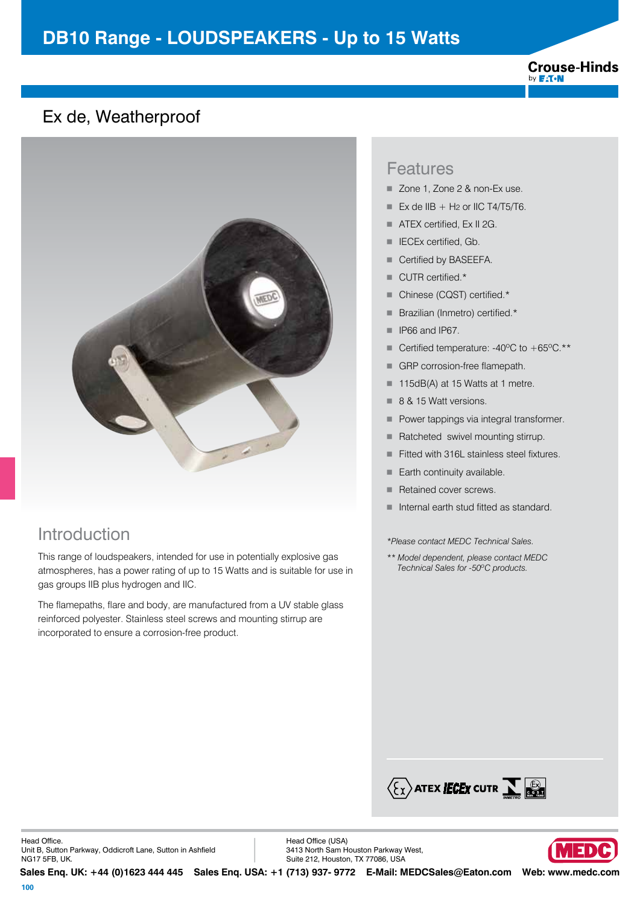#### **Crouse-Hinds** by **F:T.N**

## Ex de, Weatherproof



# Introduction

This range of loudspeakers, intended for use in potentially explosive gas atmospheres, has a power rating of up to 15 Watts and is suitable for use in gas groups IIB plus hydrogen and IIC.

The flamepaths, flare and body, are manufactured from a UV stable glass reinforced polyester. Stainless steel screws and mounting stirrup are incorporated to ensure a corrosion-free product.

### Features

- Zone 1, Zone 2 & non-Ex use.
- Ex de IIB + H<sub>2</sub> or IIC T4/T5/T6.
- $\blacksquare$  ATEX certified, Ex II 2G.
- IECEx certified, Gb.
- Certified by BASEEFA.
- CUTR certified.\*
- Chinese (CQST) certified.\*
- **Brazilian (Inmetro) certified.\***
- **F** IP66 and IP67.
- Certified temperature:  $-40^{\circ}$ C to  $+65^{\circ}$ C. \*\*
- GRP corrosion-free flamepath.
- 115dB(A) at 15 Watts at 1 metre.
- 8 & 15 Watt versions.
- Power tappings via integral transformer.
- Ratcheted swivel mounting stirrup.
- Fitted with 316L stainless steel fixtures.
- $\blacksquare$  Earth continuity available.
- Retained cover screws.
- Internal earth stud fitted as standard.

*\*Please contact MEDC Technical Sales.*

*\*\* Model dependent, please contact MEDC Technical Sales for -50ºC products.*



Head Office (USA) 3413 North Sam Houston Parkway West, Suite 212, Houston, TX 77086, USA